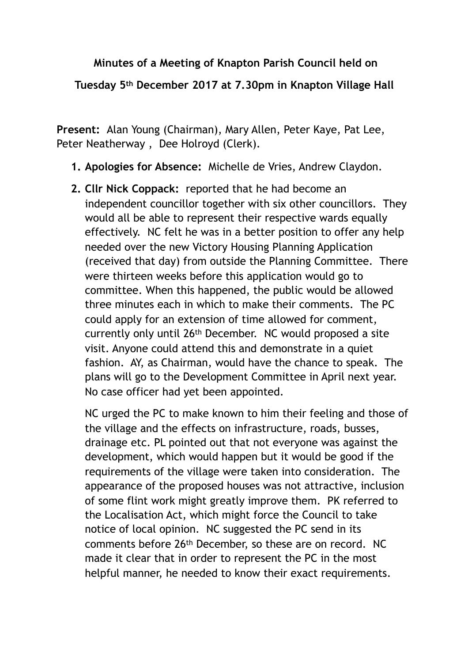## **Minutes of a Meeting of Knapton Parish Council held on**

**Tuesday 5th December 2017 at 7.30pm in Knapton Village Hall** 

**Present:** Alan Young (Chairman), Mary Allen, Peter Kaye, Pat Lee, Peter Neatherway , Dee Holroyd (Clerk).

- **1. Apologies for Absence:** Michelle de Vries, Andrew Claydon.
- **2. Cllr Nick Coppack:** reported that he had become an independent councillor together with six other councillors. They would all be able to represent their respective wards equally effectively. NC felt he was in a better position to offer any help needed over the new Victory Housing Planning Application (received that day) from outside the Planning Committee. There were thirteen weeks before this application would go to committee. When this happened, the public would be allowed three minutes each in which to make their comments. The PC could apply for an extension of time allowed for comment, currently only until 26th December. NC would proposed a site visit. Anyone could attend this and demonstrate in a quiet fashion. AY, as Chairman, would have the chance to speak. The plans will go to the Development Committee in April next year. No case officer had yet been appointed.

NC urged the PC to make known to him their feeling and those of the village and the effects on infrastructure, roads, busses, drainage etc. PL pointed out that not everyone was against the development, which would happen but it would be good if the requirements of the village were taken into consideration. The appearance of the proposed houses was not attractive, inclusion of some flint work might greatly improve them. PK referred to the Localisation Act, which might force the Council to take notice of local opinion. NC suggested the PC send in its comments before 26th December, so these are on record. NC made it clear that in order to represent the PC in the most helpful manner, he needed to know their exact requirements.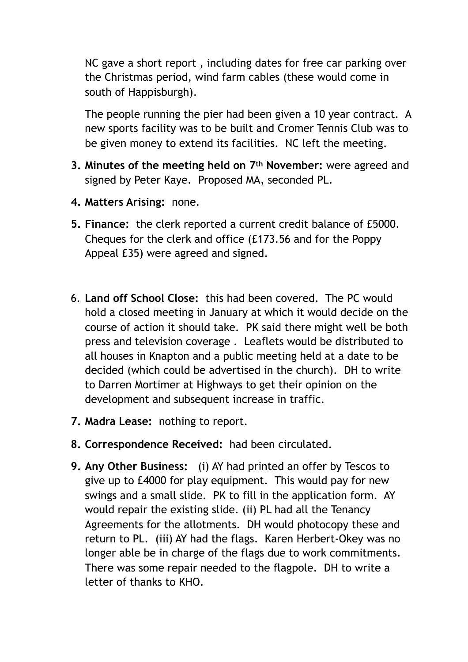NC gave a short report , including dates for free car parking over the Christmas period, wind farm cables (these would come in south of Happisburgh).

The people running the pier had been given a 10 year contract. A new sports facility was to be built and Cromer Tennis Club was to be given money to extend its facilities. NC left the meeting.

- **3. Minutes of the meeting held on 7th November:** were agreed and signed by Peter Kaye. Proposed MA, seconded PL.
- **4. Matters Arising:** none.
- **5. Finance:** the clerk reported a current credit balance of £5000. Cheques for the clerk and office (£173.56 and for the Poppy Appeal £35) were agreed and signed.
- 6. **Land off School Close:** this had been covered. The PC would hold a closed meeting in January at which it would decide on the course of action it should take. PK said there might well be both press and television coverage . Leaflets would be distributed to all houses in Knapton and a public meeting held at a date to be decided (which could be advertised in the church). DH to write to Darren Mortimer at Highways to get their opinion on the development and subsequent increase in traffic.
- **7. Madra Lease:** nothing to report.
- **8. Correspondence Received:** had been circulated.
- **9. Any Other Business:** (i) AY had printed an offer by Tescos to give up to £4000 for play equipment. This would pay for new swings and a small slide. PK to fill in the application form. AY would repair the existing slide. (ii) PL had all the Tenancy Agreements for the allotments. DH would photocopy these and return to PL. (iii) AY had the flags. Karen Herbert-Okey was no longer able be in charge of the flags due to work commitments. There was some repair needed to the flagpole. DH to write a letter of thanks to KHO.